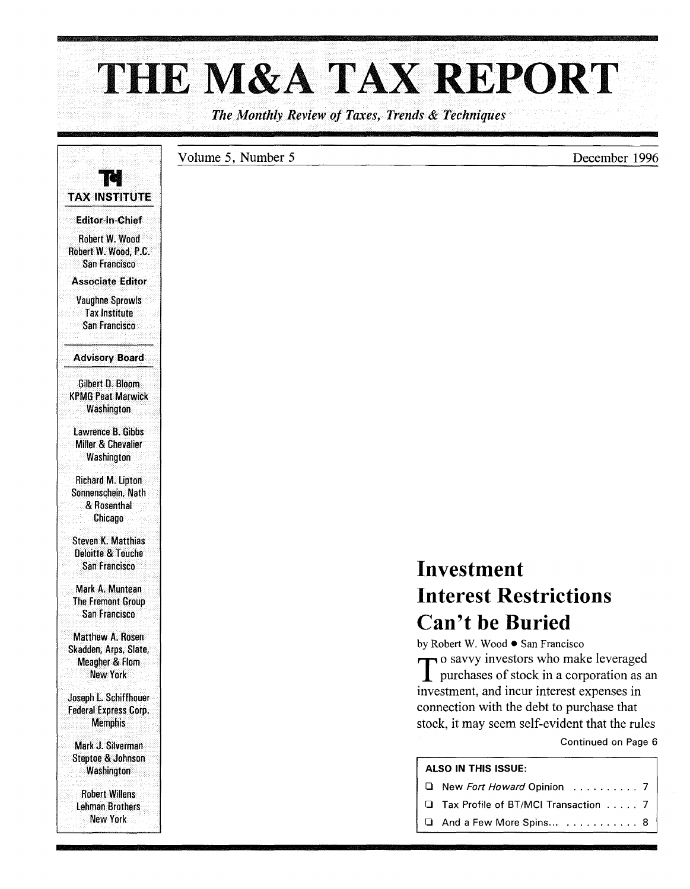# THE M&A TAX REPORT

*The Monthly Review of Taxes, Trends* & *Techniques* 

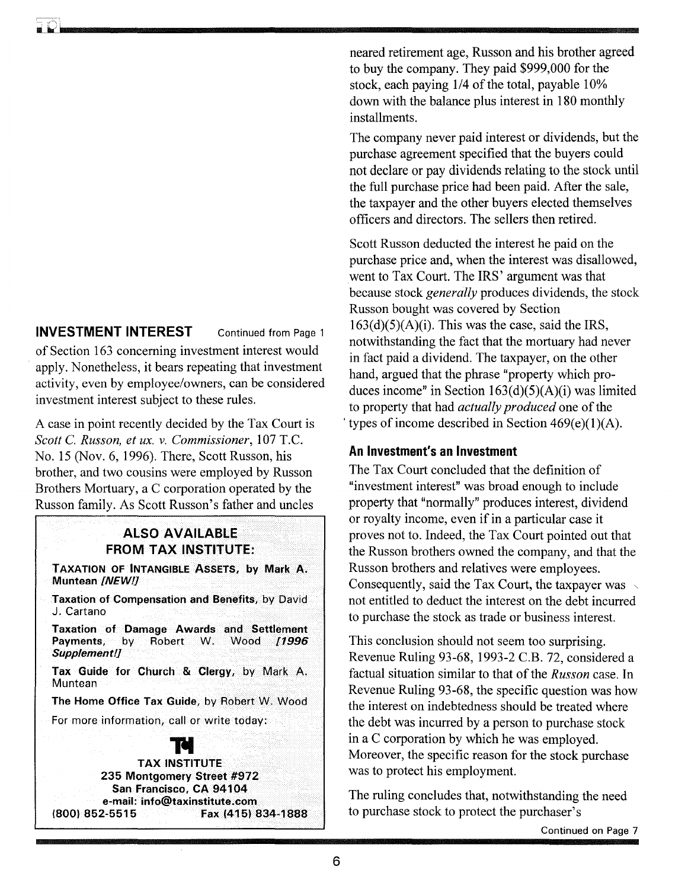### INVESTMENT INTEREST Continued from Page 1

of Section 163 concerning investment interest would apply. Nonetheless, it bears repeating that investment activity, even by employee/owners, can be considered investment interest subject to these rules.

A case in point recently decided by the Tax Court is *Scott* C. *Russon, et ux.* v. *Commissioner,* 107 T.C. No. 15 (Nov. 6, 1996). There, Scott Russon, his brother, and two cousins were employed by Russon Brothers Mortuary, a C corporation operated by the Russon family. As Scott Russon's father and uncles

#### ALSO AVAILABLE FROM TAX INSTITUTE:

TAXATION OF INTANGIBLE ASSETS, by Mark A. Muntean [NEW!]

Taxation of Compensation and Benefits, by David J. Cartano

Taxation of Damage Awards and Settlement<br>Payments, by Robert W. Wood /1996 Robert W. Wood [1996] Supplement!]

Tax Guide for Church & Clergy, by Mark A. **Muntean** 

The Home Office Tax Guide, by Robert W. Wood

For more information, call or write today:<br> **Tol** 

TAX INSTITUTE 235 Montgomery Street #972 San Francisco. CA 94104 e-mail: info@taxinstitute.com<br>} (800) 852-5515 Fax (415) 834-1888 neared retirement age, Russon and his brother agreed to buy the company. They paid \$999,000 for the stock, each paying 1/4 of the total, payable 10% down with the balance plus interest in 180 monthly installments.

The company never paid interest or dividends, but the purchase agreement specified that the buyers could not declare or pay dividends relating to the stock until the full purchase price had been paid. After the sale, the taxpayer and the other buyers elected themselves officers and directors. The sellers then retired.

Scott Russon deducted the interest he paid on the purchase price and, when the interest was disallowed, went to Tax Court. The IRS' argument was that because stock *generally* produces dividends, the stock Russon bought was covered by Section  $163(d)(5)(A)(i)$ . This was the case, said the IRS, notwithstanding the fact that the mortuary had never in fact paid a dividend. The taxpayer, on the other hand, argued that the phrase "property which produces income" in Section 163(d)(5)(A)(i) was limited to property that had *actually produced* one of the types of income described in Section  $469(e)(1)(A)$ .

#### An Investment's an Investment

The Tax Court concluded that the definition of "investment interest" was broad enough to include property that "normally" produces interest, dividend or royalty income, even if in a particular case it proves not to. Indeed, the Tax Court pointed out that the Russon brothers owned the company, and that the Russon brothers and relatives were employees. Consequently, said the Tax Court, the taxpayer was  $\sim$ not entitled to deduct the interest on the debt incurred to purchase the stock as trade or business interest.

This conclusion should not seem too surprising. Revenue Ruling 93-68, 1993-2 C.B. 72, considered a factual situation similar to that of the *Russon* case. In Revenue Ruling 93-68, the specific question was how the interest on indebtedness should be treated where the debt was incurred by a person to purchase stock in a C corporation by which he was employed. Moreover, the specific reason for the stock purchase was to protect his employment.

The ruling concludes that, notwithstanding the need to purchase stock to protect the purchaser's

Continued on Page 7